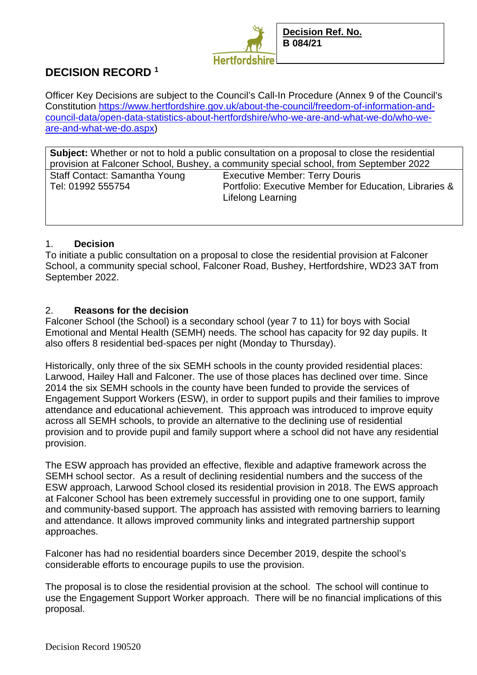

# **DECISION RECORD <sup>1</sup>**

Officer Key Decisions are subject to the Council's Call-In Procedure (Annex 9 of the Council's Constitution https://www.hertfordshire.gov.uk/about-the-council/freedom-of-information-andcouncil-data/open-data-statistics-about-hertfordshire/who-we-are-and-what-we-do/who-weare-and-what-we-do.aspx)

| <b>Subject:</b> Whether or not to hold a public consultation on a proposal to close the residential |                                                        |
|-----------------------------------------------------------------------------------------------------|--------------------------------------------------------|
| provision at Falconer School, Bushey, a community special school, from September 2022               |                                                        |
| Staff Contact: Samantha Young                                                                       | <b>Executive Member: Terry Douris</b>                  |
| Tel: 01992 555754                                                                                   | Portfolio: Executive Member for Education, Libraries & |
|                                                                                                     | Lifelong Learning                                      |
|                                                                                                     |                                                        |

#### 1. **Decision**

To initiate a public consultation on a proposal to close the residential provision at Falconer School, a community special school, Falconer Road, Bushey, Hertfordshire, WD23 3AT from September 2022.

### 2. **Reasons for the decision**

Falconer School (the School) is a secondary school (year 7 to 11) for boys with Social Emotional and Mental Health (SEMH) needs. The school has capacity for 92 day pupils. It also offers 8 residential bed-spaces per night (Monday to Thursday).

Historically, only three of the six SEMH schools in the county provided residential places: Larwood, Hailey Hall and Falconer. The use of those places has declined over time. Since 2014 the six SEMH schools in the county have been funded to provide the services of Engagement Support Workers (ESW), in order to support pupils and their families to improve attendance and educational achievement. This approach was introduced to improve equity across all SEMH schools, to provide an alternative to the declining use of residential provision and to provide pupil and family support where a school did not have any residential provision.

The ESW approach has provided an effective, flexible and adaptive framework across the SEMH school sector. As a result of declining residential numbers and the success of the ESW approach, Larwood School closed its residential provision in 2018. The EWS approach at Falconer School has been extremely successful in providing one to one support, family and community-based support. The approach has assisted with removing barriers to learning and attendance. It allows improved community links and integrated partnership support approaches.

Falconer has had no residential boarders since December 2019, despite the school's considerable efforts to encourage pupils to use the provision.

The proposal is to close the residential provision at the school. The school will continue to use the Engagement Support Worker approach. There will be no financial implications of this proposal.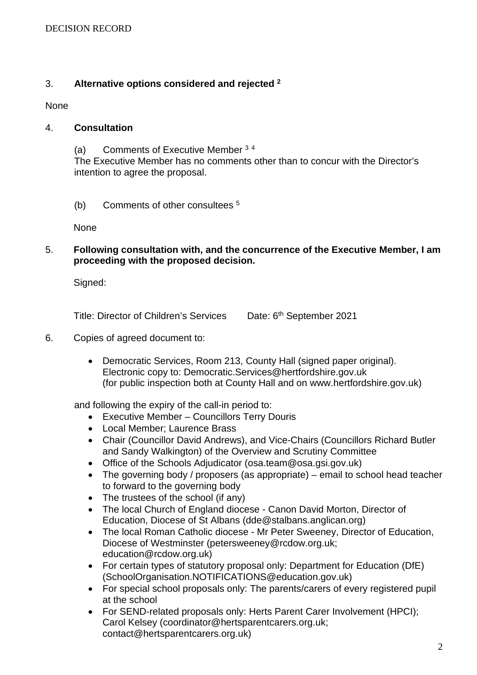## 3. **Alternative options considered and rejected <sup>2</sup>**

None

#### 4. **Consultation**

(a) Comments of Executive Member <sup>3</sup> <sup>4</sup> The Executive Member has no comments other than to concur with the Director's intention to agree the proposal.

(b) Comments of other consultees <sup>5</sup>

None

5. **Following consultation with, and the concurrence of the Executive Member, I am proceeding with the proposed decision.** 

Signed:

Title: Director of Children's Services Date: 6th September 2021

- 6. Copies of agreed document to:
	- Democratic Services, Room 213, County Hall (signed paper original). Electronic copy to: Democratic.Services@hertfordshire.gov.uk (for public inspection both at County Hall and on www.hertfordshire.gov.uk)

and following the expiry of the call-in period to:

- Executive Member Councillors Terry Douris
- Local Member; Laurence Brass
- Chair (Councillor David Andrews), and Vice-Chairs (Councillors Richard Butler and Sandy Walkington) of the Overview and Scrutiny Committee
- Office of the Schools Adjudicator (osa.team@osa.gsi.gov.uk)
- The governing body / proposers (as appropriate) email to school head teacher to forward to the governing body
- The trustees of the school (if any)
- The local Church of England diocese Canon David Morton, Director of Education, Diocese of St Albans (dde@stalbans.anglican.org)
- The local Roman Catholic diocese Mr Peter Sweeney, Director of Education, Diocese of Westminster (petersweeney@rcdow.org.uk; education@rcdow.org.uk)
- For certain types of statutory proposal only: Department for Education (DfE) (SchoolOrganisation.NOTIFICATIONS@education.gov.uk)
- For special school proposals only: The parents/carers of every registered pupil at the school
- For SEND-related proposals only: Herts Parent Carer Involvement (HPCI); Carol Kelsey (coordinator@hertsparentcarers.org.uk; contact@hertsparentcarers.org.uk)